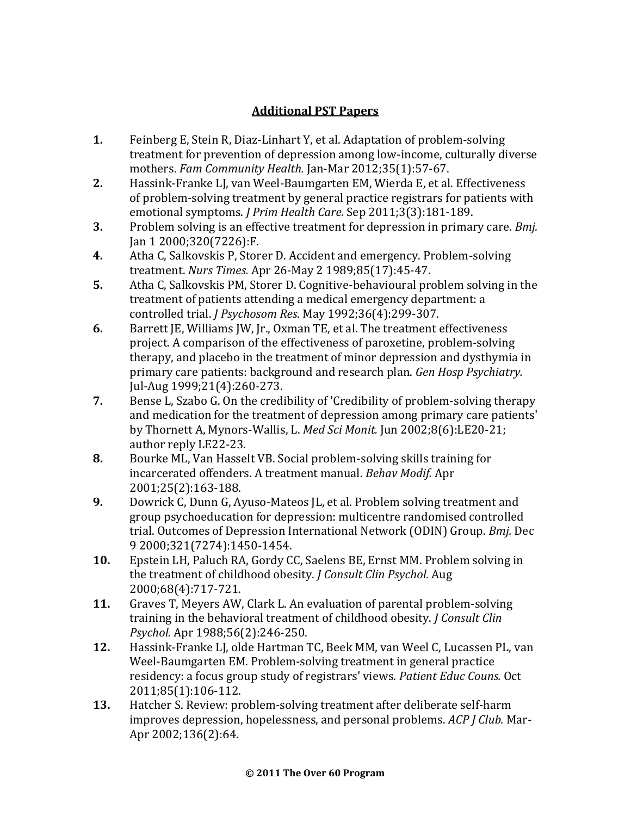## **Additional PST Papers**

- **1.** Feinberg E, Stein R, Diaz-Linhart Y, et al. Adaptation of problem-solving treatment for prevention of depression among low-income, culturally diverse mothers. *Fam Community Health.* Jan-Mar 2012;35(1):57-67.
- **2.** Hassink-Franke LJ, van Weel-Baumgarten EM, Wierda E, et al. Effectiveness of problem-solving treatment by general practice registrars for patients with emotional symptoms. *J Prim Health Care.* Sep 2011;3(3):181-189.
- **3.** Problem solving is an effective treatment for depression in primary care. *Bmj.*  Jan 1 2000;320(7226):F.
- **4.** Atha C, Salkovskis P, Storer D. Accident and emergency. Problem-solving treatment. *Nurs Times.* Apr 26-May 2 1989;85(17):45-47.
- **5.** Atha C, Salkovskis PM, Storer D. Cognitive-behavioural problem solving in the treatment of patients attending a medical emergency department: a controlled trial. *J Psychosom Res.* May 1992;36(4):299-307.
- **6.** Barrett JE, Williams JW, Jr., Oxman TE, et al. The treatment effectiveness project. A comparison of the effectiveness of paroxetine, problem-solving therapy, and placebo in the treatment of minor depression and dysthymia in primary care patients: background and research plan. *Gen Hosp Psychiatry.*  Jul-Aug 1999;21(4):260-273.
- **7.** Bense L, Szabo G. On the credibility of 'Credibility of problem-solving therapy and medication for the treatment of depression among primary care patients' by Thornett A, Mynors-Wallis, L. *Med Sci Monit.* Jun 2002;8(6):LE20-21; author reply LE22-23.
- **8.** Bourke ML, Van Hasselt VB. Social problem-solving skills training for incarcerated offenders. A treatment manual. *Behav Modif.* Apr 2001;25(2):163-188.
- **9.** Dowrick C, Dunn G, Ayuso-Mateos JL, et al. Problem solving treatment and group psychoeducation for depression: multicentre randomised controlled trial. Outcomes of Depression International Network (ODIN) Group. *Bmj.* Dec 9 2000;321(7274):1450-1454.
- **10.** Epstein LH, Paluch RA, Gordy CC, Saelens BE, Ernst MM. Problem solving in the treatment of childhood obesity. *J Consult Clin Psychol.* Aug 2000;68(4):717-721.
- **11.** Graves T, Meyers AW, Clark L. An evaluation of parental problem-solving training in the behavioral treatment of childhood obesity. *J Consult Clin Psychol.* Apr 1988;56(2):246-250.
- **12.** Hassink-Franke LJ, olde Hartman TC, Beek MM, van Weel C, Lucassen PL, van Weel-Baumgarten EM. Problem-solving treatment in general practice residency: a focus group study of registrars' views. *Patient Educ Couns.* Oct 2011;85(1):106-112.
- **13.** Hatcher S. Review: problem-solving treatment after deliberate self-harm improves depression, hopelessness, and personal problems. *ACP J Club.* Mar-Apr 2002;136(2):64.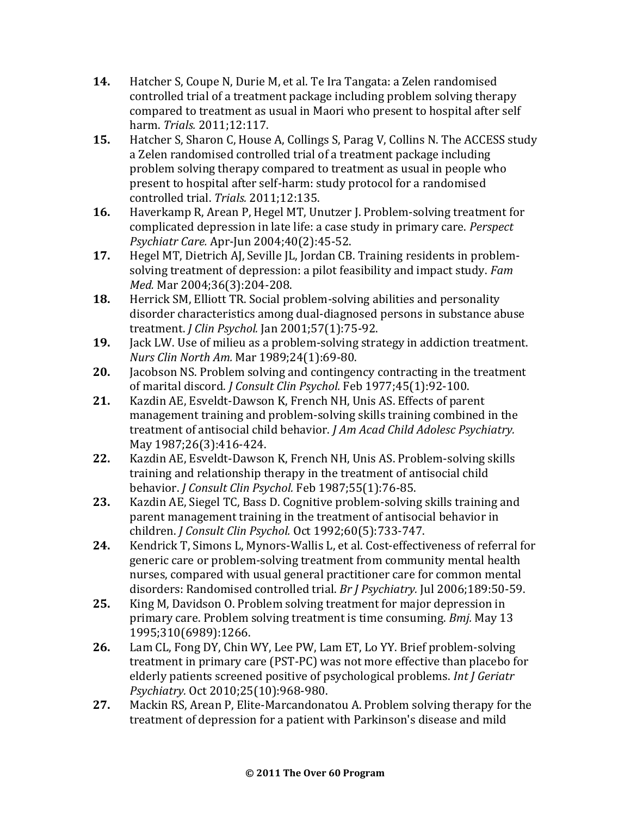- **14.** Hatcher S, Coupe N, Durie M, et al. Te Ira Tangata: a Zelen randomised controlled trial of a treatment package including problem solving therapy compared to treatment as usual in Maori who present to hospital after self harm. *Trials.* 2011;12:117.
- **15.** Hatcher S, Sharon C, House A, Collings S, Parag V, Collins N. The ACCESS study a Zelen randomised controlled trial of a treatment package including problem solving therapy compared to treatment as usual in people who present to hospital after self-harm: study protocol for a randomised controlled trial. *Trials.* 2011;12:135.
- **16.** Haverkamp R, Arean P, Hegel MT, Unutzer J. Problem-solving treatment for complicated depression in late life: a case study in primary care. *Perspect Psychiatr Care.* Apr-Jun 2004;40(2):45-52.
- **17.** Hegel MT, Dietrich AJ, Seville JL, Jordan CB. Training residents in problemsolving treatment of depression: a pilot feasibility and impact study. *Fam Med.* Mar 2004;36(3):204-208.
- **18.** Herrick SM, Elliott TR. Social problem-solving abilities and personality disorder characteristics among dual-diagnosed persons in substance abuse treatment. *J Clin Psychol.* Jan 2001;57(1):75-92.
- **19.** Jack LW. Use of milieu as a problem-solving strategy in addiction treatment. *Nurs Clin North Am.* Mar 1989;24(1):69-80.
- **20.** Jacobson NS. Problem solving and contingency contracting in the treatment of marital discord. *J Consult Clin Psychol.* Feb 1977;45(1):92-100.
- **21.** Kazdin AE, Esveldt-Dawson K, French NH, Unis AS. Effects of parent management training and problem-solving skills training combined in the treatment of antisocial child behavior. *J Am Acad Child Adolesc Psychiatry.*  May 1987;26(3):416-424.
- **22.** Kazdin AE, Esveldt-Dawson K, French NH, Unis AS. Problem-solving skills training and relationship therapy in the treatment of antisocial child behavior. *J Consult Clin Psychol.* Feb 1987;55(1):76-85.
- **23.** Kazdin AE, Siegel TC, Bass D. Cognitive problem-solving skills training and parent management training in the treatment of antisocial behavior in children. *J Consult Clin Psychol.* Oct 1992;60(5):733-747.
- **24.** Kendrick T, Simons L, Mynors-Wallis L, et al. Cost-effectiveness of referral for generic care or problem-solving treatment from community mental health nurses, compared with usual general practitioner care for common mental disorders: Randomised controlled trial. *Br J Psychiatry.* Jul 2006;189:50-59.
- **25.** King M, Davidson O. Problem solving treatment for major depression in primary care. Problem solving treatment is time consuming. *Bmj.* May 13 1995;310(6989):1266.
- **26.** Lam CL, Fong DY, Chin WY, Lee PW, Lam ET, Lo YY. Brief problem-solving treatment in primary care (PST-PC) was not more effective than placebo for elderly patients screened positive of psychological problems. *Int J Geriatr Psychiatry.* Oct 2010;25(10):968-980.
- **27.** Mackin RS, Arean P, Elite-Marcandonatou A. Problem solving therapy for the treatment of depression for a patient with Parkinson's disease and mild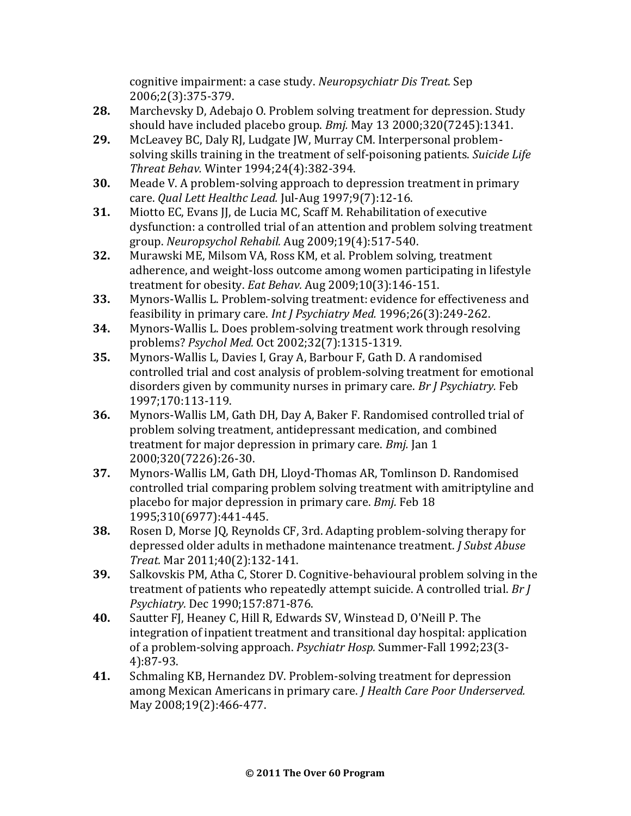cognitive impairment: a case study. *Neuropsychiatr Dis Treat.* Sep 2006;2(3):375-379.

- **28.** Marchevsky D, Adebajo O. Problem solving treatment for depression. Study should have included placebo group. *Bmj.* May 13 2000;320(7245):1341.
- **29.** McLeavey BC, Daly RJ, Ludgate JW, Murray CM. Interpersonal problemsolving skills training in the treatment of self-poisoning patients. *Suicide Life Threat Behav.* Winter 1994;24(4):382-394.
- **30.** Meade V. A problem-solving approach to depression treatment in primary care. *Qual Lett Healthc Lead.* Jul-Aug 1997;9(7):12-16.
- **31.** Miotto EC, Evans JJ, de Lucia MC, Scaff M. Rehabilitation of executive dysfunction: a controlled trial of an attention and problem solving treatment group. *Neuropsychol Rehabil.* Aug 2009;19(4):517-540.
- **32.** Murawski ME, Milsom VA, Ross KM, et al. Problem solving, treatment adherence, and weight-loss outcome among women participating in lifestyle treatment for obesity. *Eat Behav.* Aug 2009;10(3):146-151.
- **33.** Mynors-Wallis L. Problem-solving treatment: evidence for effectiveness and feasibility in primary care. *Int J Psychiatry Med.* 1996;26(3):249-262.
- **34.** Mynors-Wallis L. Does problem-solving treatment work through resolving problems? *Psychol Med.* Oct 2002;32(7):1315-1319.
- **35.** Mynors-Wallis L, Davies I, Gray A, Barbour F, Gath D. A randomised controlled trial and cost analysis of problem-solving treatment for emotional disorders given by community nurses in primary care. *Br J Psychiatry.* Feb 1997;170:113-119.
- **36.** Mynors-Wallis LM, Gath DH, Day A, Baker F. Randomised controlled trial of problem solving treatment, antidepressant medication, and combined treatment for major depression in primary care. *Bmj.* Jan 1 2000;320(7226):26-30.
- **37.** Mynors-Wallis LM, Gath DH, Lloyd-Thomas AR, Tomlinson D. Randomised controlled trial comparing problem solving treatment with amitriptyline and placebo for major depression in primary care. *Bmj.* Feb 18 1995;310(6977):441-445.
- **38.** Rosen D, Morse JQ, Reynolds CF, 3rd. Adapting problem-solving therapy for depressed older adults in methadone maintenance treatment. *J Subst Abuse Treat.* Mar 2011;40(2):132-141.
- **39.** Salkovskis PM, Atha C, Storer D. Cognitive-behavioural problem solving in the treatment of patients who repeatedly attempt suicide. A controlled trial. *Br J Psychiatry.* Dec 1990;157:871-876.
- **40.** Sautter FJ, Heaney C, Hill R, Edwards SV, Winstead D, O'Neill P. The integration of inpatient treatment and transitional day hospital: application of a problem-solving approach. *Psychiatr Hosp.* Summer-Fall 1992;23(3- 4):87-93.
- **41.** Schmaling KB, Hernandez DV. Problem-solving treatment for depression among Mexican Americans in primary care. *J Health Care Poor Underserved.*  May 2008;19(2):466-477.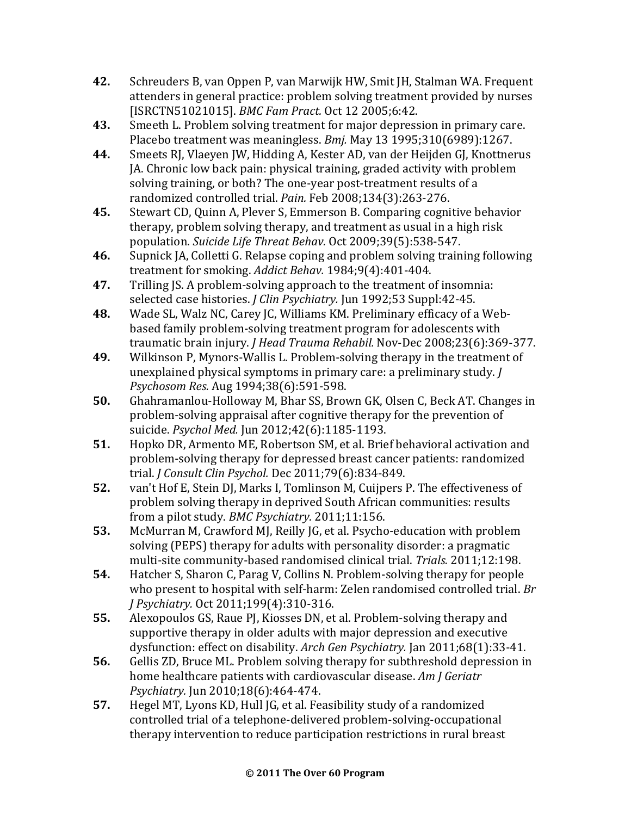- **42.** Schreuders B, van Oppen P, van Marwijk HW, Smit JH, Stalman WA. Frequent attenders in general practice: problem solving treatment provided by nurses [ISRCTN51021015]. *BMC Fam Pract.* Oct 12 2005;6:42.
- **43.** Smeeth L. Problem solving treatment for major depression in primary care. Placebo treatment was meaningless. *Bmj.* May 13 1995;310(6989):1267.
- **44.** Smeets RJ, Vlaeyen JW, Hidding A, Kester AD, van der Heijden GJ, Knottnerus JA. Chronic low back pain: physical training, graded activity with problem solving training, or both? The one-year post-treatment results of a randomized controlled trial. *Pain.* Feb 2008;134(3):263-276.
- **45.** Stewart CD, Quinn A, Plever S, Emmerson B. Comparing cognitive behavior therapy, problem solving therapy, and treatment as usual in a high risk population. *Suicide Life Threat Behav.* Oct 2009;39(5):538-547.
- **46.** Supnick JA, Colletti G. Relapse coping and problem solving training following treatment for smoking. *Addict Behav.* 1984;9(4):401-404.
- **47.** Trilling JS. A problem-solving approach to the treatment of insomnia: selected case histories. *J Clin Psychiatry.* Jun 1992;53 Suppl:42-45.
- **48.** Wade SL, Walz NC, Carey JC, Williams KM. Preliminary efficacy of a Webbased family problem-solving treatment program for adolescents with traumatic brain injury. *J Head Trauma Rehabil.* Nov-Dec 2008;23(6):369-377.
- **49.** Wilkinson P, Mynors-Wallis L. Problem-solving therapy in the treatment of unexplained physical symptoms in primary care: a preliminary study. *J Psychosom Res.* Aug 1994;38(6):591-598.
- **50.** Ghahramanlou-Holloway M, Bhar SS, Brown GK, Olsen C, Beck AT. Changes in problem-solving appraisal after cognitive therapy for the prevention of suicide. *Psychol Med.* Jun 2012;42(6):1185-1193.
- **51.** Hopko DR, Armento ME, Robertson SM, et al. Brief behavioral activation and problem-solving therapy for depressed breast cancer patients: randomized trial. *J Consult Clin Psychol.* Dec 2011;79(6):834-849.
- **52.** van't Hof E, Stein DJ, Marks I, Tomlinson M, Cuijpers P. The effectiveness of problem solving therapy in deprived South African communities: results from a pilot study. *BMC Psychiatry.* 2011;11:156.
- **53.** McMurran M, Crawford MJ, Reilly JG, et al. Psycho-education with problem solving (PEPS) therapy for adults with personality disorder: a pragmatic multi-site community-based randomised clinical trial. *Trials.* 2011;12:198.
- **54.** Hatcher S, Sharon C, Parag V, Collins N. Problem-solving therapy for people who present to hospital with self-harm: Zelen randomised controlled trial. *Br J Psychiatry.* Oct 2011;199(4):310-316.
- **55.** Alexopoulos GS, Raue PJ, Kiosses DN, et al. Problem-solving therapy and supportive therapy in older adults with major depression and executive dysfunction: effect on disability. *Arch Gen Psychiatry.* Jan 2011;68(1):33-41.
- **56.** Gellis ZD, Bruce ML. Problem solving therapy for subthreshold depression in home healthcare patients with cardiovascular disease. *Am J Geriatr Psychiatry.* Jun 2010;18(6):464-474.
- **57.** Hegel MT, Lyons KD, Hull JG, et al. Feasibility study of a randomized controlled trial of a telephone-delivered problem-solving-occupational therapy intervention to reduce participation restrictions in rural breast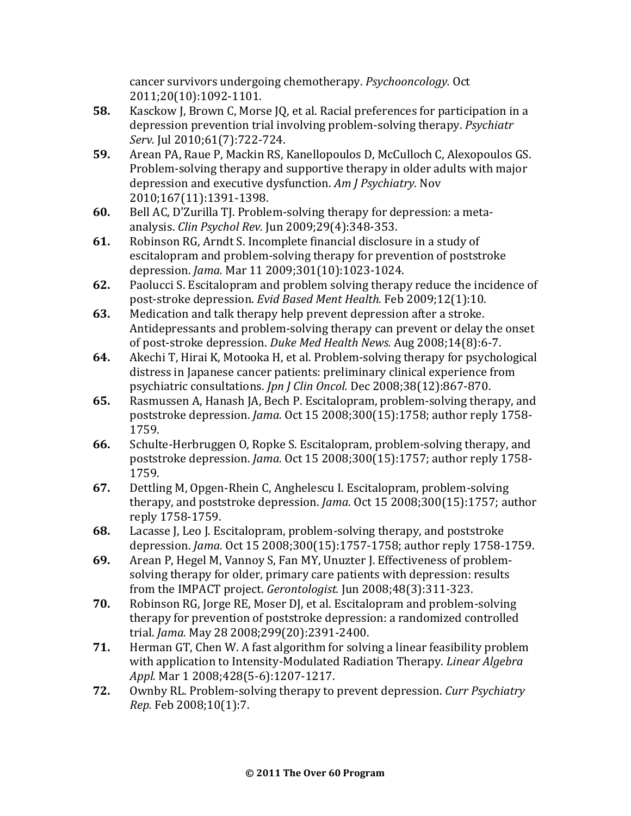cancer survivors undergoing chemotherapy. *Psychooncology.* Oct 2011;20(10):1092-1101.

- **58.** Kasckow J, Brown C, Morse JQ, et al. Racial preferences for participation in a depression prevention trial involving problem-solving therapy. *Psychiatr Serv.* Jul 2010;61(7):722-724.
- **59.** Arean PA, Raue P, Mackin RS, Kanellopoulos D, McCulloch C, Alexopoulos GS. Problem-solving therapy and supportive therapy in older adults with major depression and executive dysfunction. *Am J Psychiatry.* Nov 2010;167(11):1391-1398.
- **60.** Bell AC, D'Zurilla TJ. Problem-solving therapy for depression: a metaanalysis. *Clin Psychol Rev.* Jun 2009;29(4):348-353.
- **61.** Robinson RG, Arndt S. Incomplete financial disclosure in a study of escitalopram and problem-solving therapy for prevention of poststroke depression. *Jama.* Mar 11 2009;301(10):1023-1024.
- **62.** Paolucci S. Escitalopram and problem solving therapy reduce the incidence of post-stroke depression. *Evid Based Ment Health.* Feb 2009;12(1):10.
- **63.** Medication and talk therapy help prevent depression after a stroke. Antidepressants and problem-solving therapy can prevent or delay the onset of post-stroke depression. *Duke Med Health News.* Aug 2008;14(8):6-7.
- **64.** Akechi T, Hirai K, Motooka H, et al. Problem-solving therapy for psychological distress in Japanese cancer patients: preliminary clinical experience from psychiatric consultations. *Jpn J Clin Oncol.* Dec 2008;38(12):867-870.
- **65.** Rasmussen A, Hanash JA, Bech P. Escitalopram, problem-solving therapy, and poststroke depression. *Jama.* Oct 15 2008;300(15):1758; author reply 1758- 1759.
- **66.** Schulte-Herbruggen O, Ropke S. Escitalopram, problem-solving therapy, and poststroke depression. *Jama.* Oct 15 2008;300(15):1757; author reply 1758- 1759.
- **67.** Dettling M, Opgen-Rhein C, Anghelescu I. Escitalopram, problem-solving therapy, and poststroke depression. *Jama.* Oct 15 2008;300(15):1757; author reply 1758-1759.
- **68.** Lacasse J, Leo J. Escitalopram, problem-solving therapy, and poststroke depression. *Jama.* Oct 15 2008;300(15):1757-1758; author reply 1758-1759.
- **69.** Arean P, Hegel M, Vannoy S, Fan MY, Unuzter J. Effectiveness of problemsolving therapy for older, primary care patients with depression: results from the IMPACT project. *Gerontologist.* Jun 2008;48(3):311-323.
- **70.** Robinson RG, Jorge RE, Moser DJ, et al. Escitalopram and problem-solving therapy for prevention of poststroke depression: a randomized controlled trial. *Jama.* May 28 2008;299(20):2391-2400.
- **71.** Herman GT, Chen W. A fast algorithm for solving a linear feasibility problem with application to Intensity-Modulated Radiation Therapy. *Linear Algebra Appl.* Mar 1 2008;428(5-6):1207-1217.
- **72.** Ownby RL. Problem-solving therapy to prevent depression. *Curr Psychiatry Rep.* Feb 2008;10(1):7.